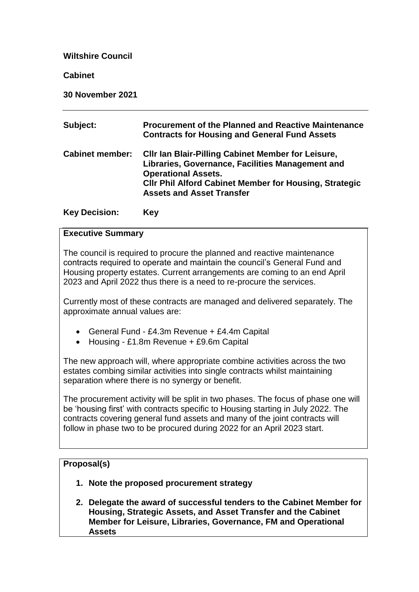**Wiltshire Council**

**Cabinet**

**30 November 2021**

| Subject:               | <b>Procurement of the Planned and Reactive Maintenance</b><br><b>Contracts for Housing and General Fund Assets</b>                                                                                                                               |
|------------------------|--------------------------------------------------------------------------------------------------------------------------------------------------------------------------------------------------------------------------------------------------|
| <b>Cabinet member:</b> | <b>CIIr Ian Blair-Pilling Cabinet Member for Leisure,</b><br>Libraries, Governance, Facilities Management and<br><b>Operational Assets.</b><br><b>CIIr Phil Alford Cabinet Member for Housing, Strategic</b><br><b>Assets and Asset Transfer</b> |

#### **Key Decision: Key**

#### **Executive Summary**

The council is required to procure the planned and reactive maintenance contracts required to operate and maintain the council's General Fund and Housing property estates. Current arrangements are coming to an end April 2023 and April 2022 thus there is a need to re-procure the services.

Currently most of these contracts are managed and delivered separately. The approximate annual values are:

- General Fund £4.3m Revenue + £4.4m Capital
- Housing £1.8m Revenue + £9.6m Capital

The new approach will, where appropriate combine activities across the two estates combing similar activities into single contracts whilst maintaining separation where there is no synergy or benefit.

The procurement activity will be split in two phases. The focus of phase one will be 'housing first' with contracts specific to Housing starting in July 2022. The contracts covering general fund assets and many of the joint contracts will follow in phase two to be procured during 2022 for an April 2023 start.

#### **Proposal(s)**

- **1. Note the proposed procurement strategy**
- **2. Delegate the award of successful tenders to the Cabinet Member for Housing, Strategic Assets, and Asset Transfer and the Cabinet Member for Leisure, Libraries, Governance, FM and Operational Assets**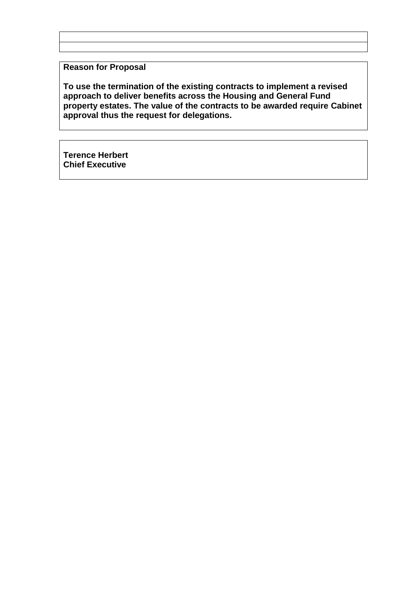## **Reason for Proposal**

**To use the termination of the existing contracts to implement a revised approach to deliver benefits across the Housing and General Fund property estates. The value of the contracts to be awarded require Cabinet approval thus the request for delegations.**

**Terence Herbert Chief Executive**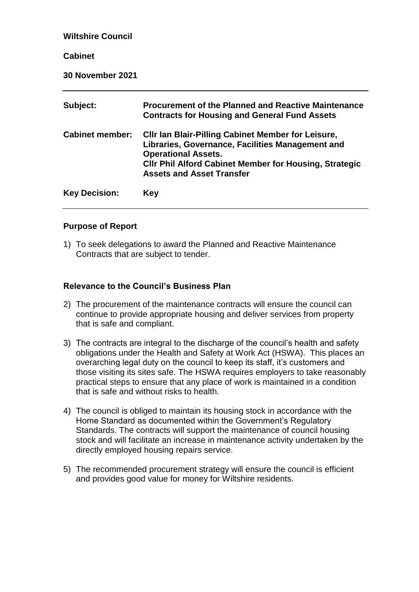| <b>Wiltshire Council</b> |                                                                                                                                                                                                                                                  |
|--------------------------|--------------------------------------------------------------------------------------------------------------------------------------------------------------------------------------------------------------------------------------------------|
| <b>Cabinet</b>           |                                                                                                                                                                                                                                                  |
| <b>30 November 2021</b>  |                                                                                                                                                                                                                                                  |
| Subject:                 | <b>Procurement of the Planned and Reactive Maintenance</b><br><b>Contracts for Housing and General Fund Assets</b>                                                                                                                               |
| <b>Cabinet member:</b>   | <b>CIIr Ian Blair-Pilling Cabinet Member for Leisure,</b><br>Libraries, Governance, Facilities Management and<br><b>Operational Assets.</b><br><b>CIIr Phil Alford Cabinet Member for Housing, Strategic</b><br><b>Assets and Asset Transfer</b> |
| <b>Key Decision:</b>     | <b>Key</b>                                                                                                                                                                                                                                       |

#### **Purpose of Report**

1) To seek delegations to award the Planned and Reactive Maintenance Contracts that are subject to tender.

## **Relevance to the Council's Business Plan**

- 2) The procurement of the maintenance contracts will ensure the council can continue to provide appropriate housing and deliver services from property that is safe and compliant.
- 3) The contracts are integral to the discharge of the council's health and safety obligations under the Health and Safety at Work Act (HSWA). This places an overarching legal duty on the council to keep its staff, it's customers and those visiting its sites safe. The HSWA requires employers to take reasonably practical steps to ensure that any place of work is maintained in a condition that is safe and without risks to health.
- 4) The council is obliged to maintain its housing stock in accordance with the Home Standard as documented within the Government's Regulatory Standards. The contracts will support the maintenance of council housing stock and will facilitate an increase in maintenance activity undertaken by the directly employed housing repairs service.
- 5) The recommended procurement strategy will ensure the council is efficient and provides good value for money for Wiltshire residents.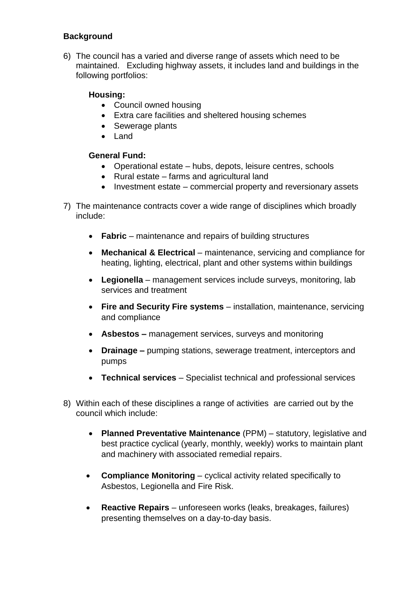## **Background**

6) The council has a varied and diverse range of assets which need to be maintained. Excluding highway assets, it includes land and buildings in the following portfolios:

## **Housing:**

- Council owned housing
- Extra care facilities and sheltered housing schemes
- Sewerage plants
- Land

## **General Fund:**

- Operational estate hubs, depots, leisure centres, schools
- Rural estate farms and agricultural land
- Investment estate commercial property and reversionary assets
- 7) The maintenance contracts cover a wide range of disciplines which broadly include:
	- **Fabric** maintenance and repairs of building structures
	- Mechanical & Electrical maintenance, servicing and compliance for heating, lighting, electrical, plant and other systems within buildings
	- **Legionella** management services include surveys, monitoring, lab services and treatment
	- **Fire and Security Fire systems**  installation, maintenance, servicing and compliance
	- **Asbestos –** management services, surveys and monitoring
	- **Drainage –** pumping stations, sewerage treatment, interceptors and pumps
	- **Technical services**  Specialist technical and professional services
- 8) Within each of these disciplines a range of activities are carried out by the council which include:
	- **Planned Preventative Maintenance** (PPM) statutory, legislative and best practice cyclical (yearly, monthly, weekly) works to maintain plant and machinery with associated remedial repairs.
	- **Compliance Monitoring** cyclical activity related specifically to Asbestos, Legionella and Fire Risk.
	- **Reactive Repairs** unforeseen works (leaks, breakages, failures) presenting themselves on a day-to-day basis.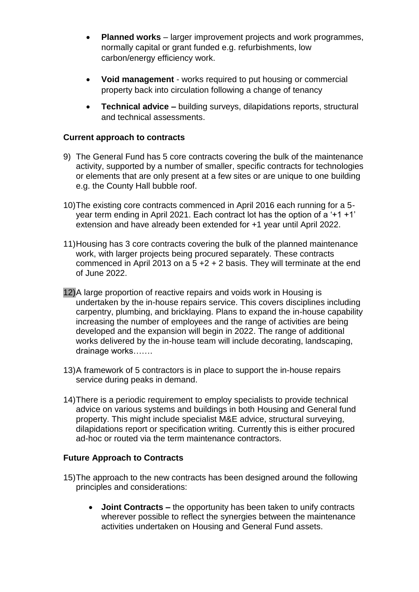- **Planned works**  larger improvement projects and work programmes, normally capital or grant funded e.g. refurbishments, low carbon/energy efficiency work.
- **Void management**  works required to put housing or commercial property back into circulation following a change of tenancy
- **Technical advice –** building surveys, dilapidations reports, structural and technical assessments.

## **Current approach to contracts**

- 9) The General Fund has 5 core contracts covering the bulk of the maintenance activity, supported by a number of smaller, specific contracts for technologies or elements that are only present at a few sites or are unique to one building e.g. the County Hall bubble roof.
- 10)The existing core contracts commenced in April 2016 each running for a 5 year term ending in April 2021. Each contract lot has the option of a '+1 +1' extension and have already been extended for +1 year until April 2022.
- 11)Housing has 3 core contracts covering the bulk of the planned maintenance work, with larger projects being procured separately. These contracts commenced in April 2013 on a 5 +2 + 2 basis. They will terminate at the end of June 2022.
- 12)A large proportion of reactive repairs and voids work in Housing is undertaken by the in-house repairs service. This covers disciplines including carpentry, plumbing, and bricklaying. Plans to expand the in-house capability increasing the number of employees and the range of activities are being developed and the expansion will begin in 2022. The range of additional works delivered by the in-house team will include decorating, landscaping, drainage works…….
- 13)A framework of 5 contractors is in place to support the in-house repairs service during peaks in demand.
- 14)There is a periodic requirement to employ specialists to provide technical advice on various systems and buildings in both Housing and General fund property. This might include specialist M&E advice, structural surveying, dilapidations report or specification writing. Currently this is either procured ad-hoc or routed via the term maintenance contractors.

#### **Future Approach to Contracts**

- 15)The approach to the new contracts has been designed around the following principles and considerations:
	- **Joint Contracts –** the opportunity has been taken to unify contracts wherever possible to reflect the synergies between the maintenance activities undertaken on Housing and General Fund assets.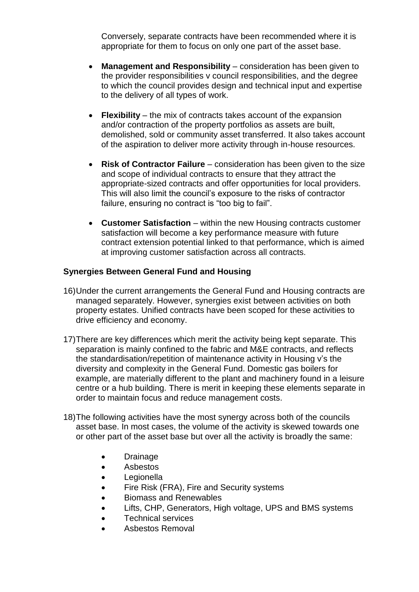Conversely, separate contracts have been recommended where it is appropriate for them to focus on only one part of the asset base.

- **Management and Responsibility** consideration has been given to the provider responsibilities v council responsibilities, and the degree to which the council provides design and technical input and expertise to the delivery of all types of work.
- **Flexibility** the mix of contracts takes account of the expansion and/or contraction of the property portfolios as assets are built, demolished, sold or community asset transferred. It also takes account of the aspiration to deliver more activity through in-house resources.
- **Risk of Contractor Failure** consideration has been given to the size and scope of individual contracts to ensure that they attract the appropriate-sized contracts and offer opportunities for local providers. This will also limit the council's exposure to the risks of contractor failure, ensuring no contract is "too big to fail".
- **Customer Satisfaction** within the new Housing contracts customer satisfaction will become a key performance measure with future contract extension potential linked to that performance, which is aimed at improving customer satisfaction across all contracts.

#### **Synergies Between General Fund and Housing**

- 16)Under the current arrangements the General Fund and Housing contracts are managed separately. However, synergies exist between activities on both property estates. Unified contracts have been scoped for these activities to drive efficiency and economy.
- 17)There are key differences which merit the activity being kept separate. This separation is mainly confined to the fabric and M&E contracts, and reflects the standardisation/repetition of maintenance activity in Housing v's the diversity and complexity in the General Fund. Domestic gas boilers for example, are materially different to the plant and machinery found in a leisure centre or a hub building. There is merit in keeping these elements separate in order to maintain focus and reduce management costs.
- 18)The following activities have the most synergy across both of the councils asset base. In most cases, the volume of the activity is skewed towards one or other part of the asset base but over all the activity is broadly the same:
	- Drainage
	- Asbestos
	- **Legionella**
	- Fire Risk (FRA), Fire and Security systems
	- Biomass and Renewables
	- Lifts, CHP, Generators, High voltage, UPS and BMS systems
	- Technical services
	- Asbestos Removal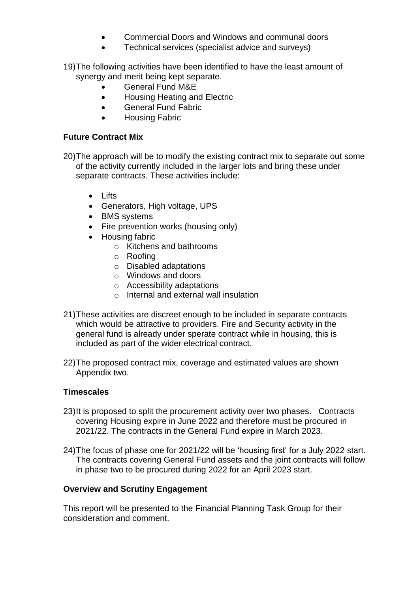- Commercial Doors and Windows and communal doors
- Technical services (specialist advice and surveys)
- 19)The following activities have been identified to have the least amount of synergy and merit being kept separate.
	- General Fund M&E
	- Housing Heating and Electric
	- **•** General Fund Fabric
	- Housing Fabric

## **Future Contract Mix**

- 20)The approach will be to modify the existing contract mix to separate out some of the activity currently included in the larger lots and bring these under separate contracts. These activities include:
	- $\bullet$  lifts
	- Generators, High voltage, UPS
	- BMS systems
	- Fire prevention works (housing only)
	- Housing fabric
		- o Kitchens and bathrooms
		- o Roofing
		- o Disabled adaptations
		- o Windows and doors
		- o Accessibility adaptations
		- o Internal and external wall insulation
- 21)These activities are discreet enough to be included in separate contracts which would be attractive to providers. Fire and Security activity in the general fund is already under sperate contract while in housing, this is included as part of the wider electrical contract.
- 22)The proposed contract mix, coverage and estimated values are shown Appendix two.

## **Timescales**

- 23)It is proposed to split the procurement activity over two phases. Contracts covering Housing expire in June 2022 and therefore must be procured in 2021/22. The contracts in the General Fund expire in March 2023.
- 24)The focus of phase one for 2021/22 will be 'housing first' for a July 2022 start. The contracts covering General Fund assets and the joint contracts will follow in phase two to be procured during 2022 for an April 2023 start.

#### **Overview and Scrutiny Engagement**

This report will be presented to the Financial Planning Task Group for their consideration and comment.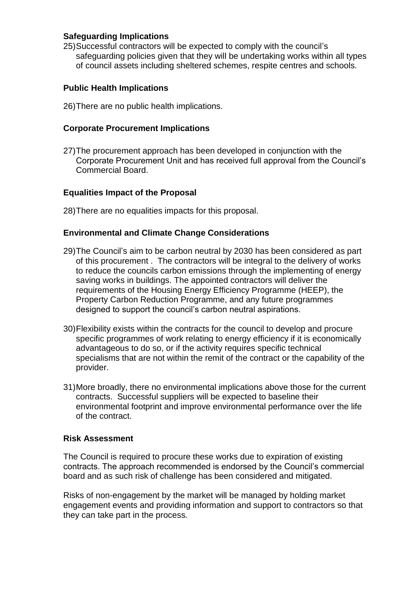#### **Safeguarding Implications**

25)Successful contractors will be expected to comply with the council's safeguarding policies given that they will be undertaking works within all types of council assets including sheltered schemes, respite centres and schools.

#### **Public Health Implications**

26)There are no public health implications.

#### **Corporate Procurement Implications**

27)The procurement approach has been developed in conjunction with the Corporate Procurement Unit and has received full approval from the Council's Commercial Board.

#### **Equalities Impact of the Proposal**

28)There are no equalities impacts for this proposal.

#### **Environmental and Climate Change Considerations**

- 29)The Council's aim to be carbon neutral by 2030 has been considered as part of this procurement . The contractors will be integral to the delivery of works to reduce the councils carbon emissions through the implementing of energy saving works in buildings. The appointed contractors will deliver the requirements of the Housing Energy Efficiency Programme (HEEP), the Property Carbon Reduction Programme, and any future programmes designed to support the council's carbon neutral aspirations.
- 30)Flexibility exists within the contracts for the council to develop and procure specific programmes of work relating to energy efficiency if it is economically advantageous to do so, or if the activity requires specific technical specialisms that are not within the remit of the contract or the capability of the provider.
- 31)More broadly, there no environmental implications above those for the current contracts. Successful suppliers will be expected to baseline their environmental footprint and improve environmental performance over the life of the contract.

#### **Risk Assessment**

The Council is required to procure these works due to expiration of existing contracts. The approach recommended is endorsed by the Council's commercial board and as such risk of challenge has been considered and mitigated.

Risks of non-engagement by the market will be managed by holding market engagement events and providing information and support to contractors so that they can take part in the process.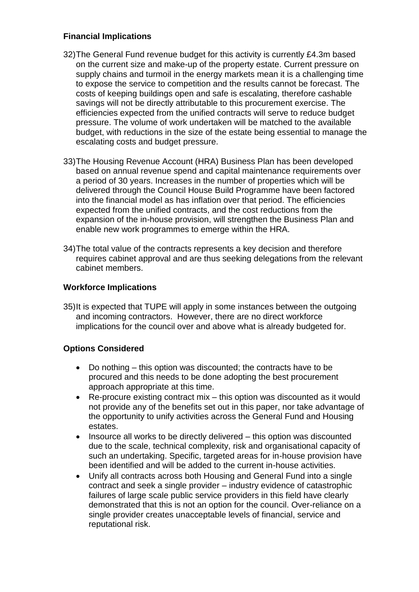## **Financial Implications**

- 32)The General Fund revenue budget for this activity is currently £4.3m based on the current size and make-up of the property estate. Current pressure on supply chains and turmoil in the energy markets mean it is a challenging time to expose the service to competition and the results cannot be forecast. The costs of keeping buildings open and safe is escalating, therefore cashable savings will not be directly attributable to this procurement exercise. The efficiencies expected from the unified contracts will serve to reduce budget pressure. The volume of work undertaken will be matched to the available budget, with reductions in the size of the estate being essential to manage the escalating costs and budget pressure.
- 33)The Housing Revenue Account (HRA) Business Plan has been developed based on annual revenue spend and capital maintenance requirements over a period of 30 years. Increases in the number of properties which will be delivered through the Council House Build Programme have been factored into the financial model as has inflation over that period. The efficiencies expected from the unified contracts, and the cost reductions from the expansion of the in-house provision, will strengthen the Business Plan and enable new work programmes to emerge within the HRA.
- 34)The total value of the contracts represents a key decision and therefore requires cabinet approval and are thus seeking delegations from the relevant cabinet members.

## **Workforce Implications**

35)It is expected that TUPE will apply in some instances between the outgoing and incoming contractors. However, there are no direct workforce implications for the council over and above what is already budgeted for.

## **Options Considered**

- Do nothing this option was discounted; the contracts have to be procured and this needs to be done adopting the best procurement approach appropriate at this time.
- Re-procure existing contract mix this option was discounted as it would not provide any of the benefits set out in this paper, nor take advantage of the opportunity to unify activities across the General Fund and Housing estates.
- Insource all works to be directly delivered this option was discounted due to the scale, technical complexity, risk and organisational capacity of such an undertaking. Specific, targeted areas for in-house provision have been identified and will be added to the current in-house activities.
- Unify all contracts across both Housing and General Fund into a single contract and seek a single provider – industry evidence of catastrophic failures of large scale public service providers in this field have clearly demonstrated that this is not an option for the council. Over-reliance on a single provider creates unacceptable levels of financial, service and reputational risk.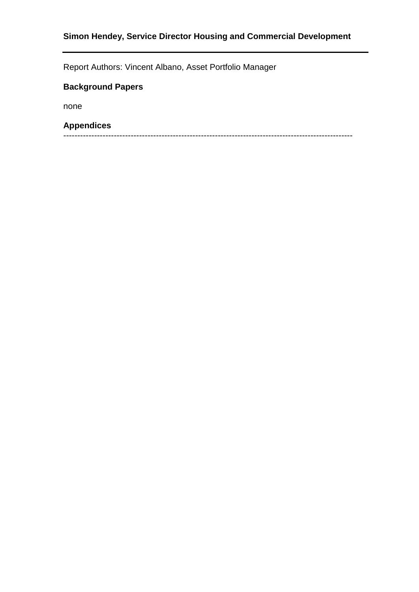# **Simon Hendey, Service Director Housing and Commercial Development**

Report Authors: Vincent Albano, Asset Portfolio Manager

# **Background Papers**

none

#### **Appendices**

-------------------------------------------------------------------------------------------------------